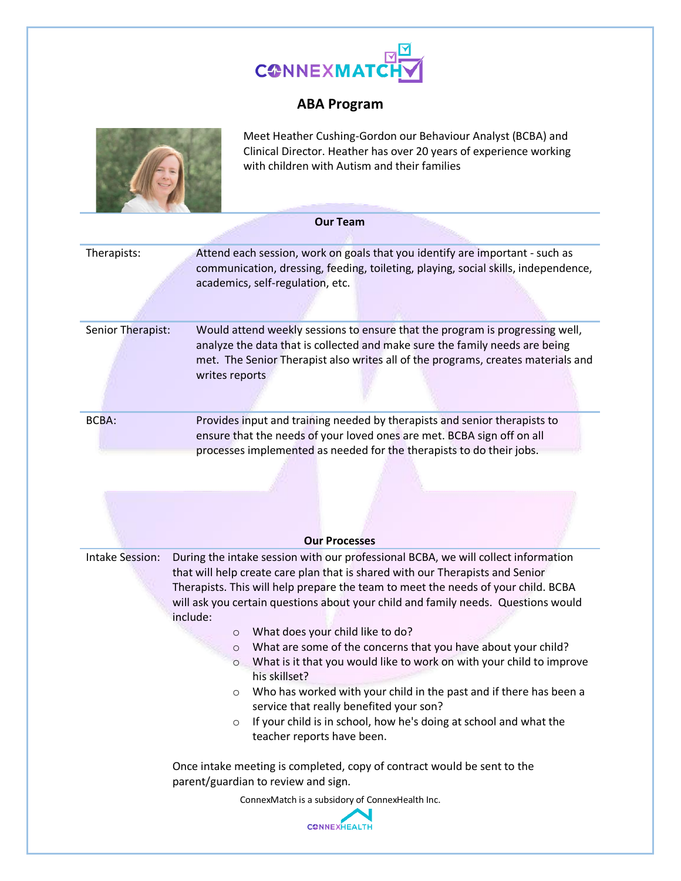

## **ABA Program**



Meet Heather Cushing-Gordon our Behaviour Analyst (BCBA) and Clinical Director. Heather has over 20 years of experience working with children with Autism and their families

| <b>Our Team</b>        |                                                                                                                                                                                                                                                                                                                                                                                                                                                                                                                                                                                                                                                                                                                                                                                                                       |  |  |  |  |  |  |
|------------------------|-----------------------------------------------------------------------------------------------------------------------------------------------------------------------------------------------------------------------------------------------------------------------------------------------------------------------------------------------------------------------------------------------------------------------------------------------------------------------------------------------------------------------------------------------------------------------------------------------------------------------------------------------------------------------------------------------------------------------------------------------------------------------------------------------------------------------|--|--|--|--|--|--|
| Therapists:            | Attend each session, work on goals that you identify are important - such as<br>communication, dressing, feeding, toileting, playing, social skills, independence,<br>academics, self-regulation, etc.                                                                                                                                                                                                                                                                                                                                                                                                                                                                                                                                                                                                                |  |  |  |  |  |  |
| Senior Therapist:      | Would attend weekly sessions to ensure that the program is progressing well,<br>analyze the data that is collected and make sure the family needs are being<br>met. The Senior Therapist also writes all of the programs, creates materials and<br>writes reports                                                                                                                                                                                                                                                                                                                                                                                                                                                                                                                                                     |  |  |  |  |  |  |
| <b>BCBA:</b>           | Provides input and training needed by therapists and senior therapists to<br>ensure that the needs of your loved ones are met. BCBA sign off on all<br>processes implemented as needed for the therapists to do their jobs.                                                                                                                                                                                                                                                                                                                                                                                                                                                                                                                                                                                           |  |  |  |  |  |  |
|                        | <b>Our Processes</b>                                                                                                                                                                                                                                                                                                                                                                                                                                                                                                                                                                                                                                                                                                                                                                                                  |  |  |  |  |  |  |
| <b>Intake Session:</b> | During the intake session with our professional BCBA, we will collect information<br>that will help create care plan that is shared with our Therapists and Senior<br>Therapists. This will help prepare the team to meet the needs of your child. BCBA<br>will ask you certain questions about your child and family needs. Questions would<br>include:<br>What does your child like to do?<br>$\circ$<br>What are some of the concerns that you have about your child?<br>$\circ$<br>What is it that you would like to work on with your child to improve<br>$\circ$<br>his skillset?<br>Who has worked with your child in the past and if there has been a<br>O<br>service that really benefited your son?<br>If your child is in school, how he's doing at school and what the<br>O<br>teacher reports have been. |  |  |  |  |  |  |
|                        | Once intake meeting is completed, copy of contract would be sent to the<br>parent/guardian to review and sign.                                                                                                                                                                                                                                                                                                                                                                                                                                                                                                                                                                                                                                                                                                        |  |  |  |  |  |  |
|                        | ConnexMatch is a subsidory of ConnexHealth Inc.<br><b>CONNEXHEALTH</b>                                                                                                                                                                                                                                                                                                                                                                                                                                                                                                                                                                                                                                                                                                                                                |  |  |  |  |  |  |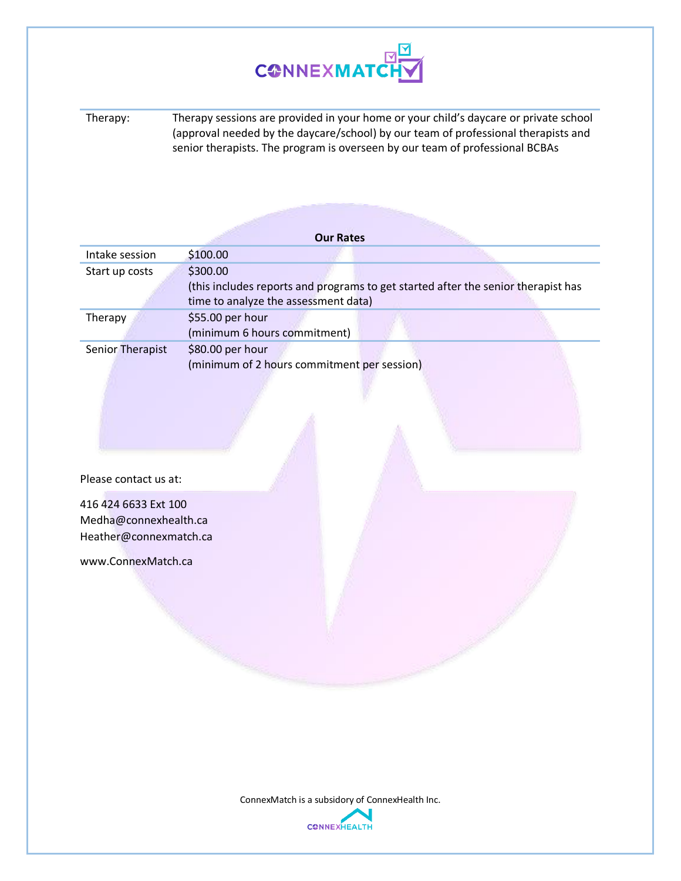

Therapy: Therapy sessions are provided in your home or your child's daycare or private school (approval needed by the daycare/school) by our team of professional therapists and senior therapists. The program is overseen by our team of professional BCBAs

|                                                                         | <b>Our Rates</b>                                                                                                                      |  |
|-------------------------------------------------------------------------|---------------------------------------------------------------------------------------------------------------------------------------|--|
| Intake session                                                          | \$100.00                                                                                                                              |  |
| Start up costs                                                          | \$300.00<br>(this includes reports and programs to get started after the senior therapist has<br>time to analyze the assessment data) |  |
| Therapy                                                                 | \$55.00 per hour<br>(minimum 6 hours commitment)                                                                                      |  |
| Senior Therapist                                                        | \$80.00 per hour<br>(minimum of 2 hours commitment per session)                                                                       |  |
| Please contact us at:                                                   |                                                                                                                                       |  |
| 416 424 6633 Ext 100<br>Medha@connexhealth.ca<br>Heather@connexmatch.ca |                                                                                                                                       |  |
| www.ConnexMatch.ca                                                      |                                                                                                                                       |  |
|                                                                         |                                                                                                                                       |  |

ConnexMatch is a subsidory of ConnexHealth Inc.